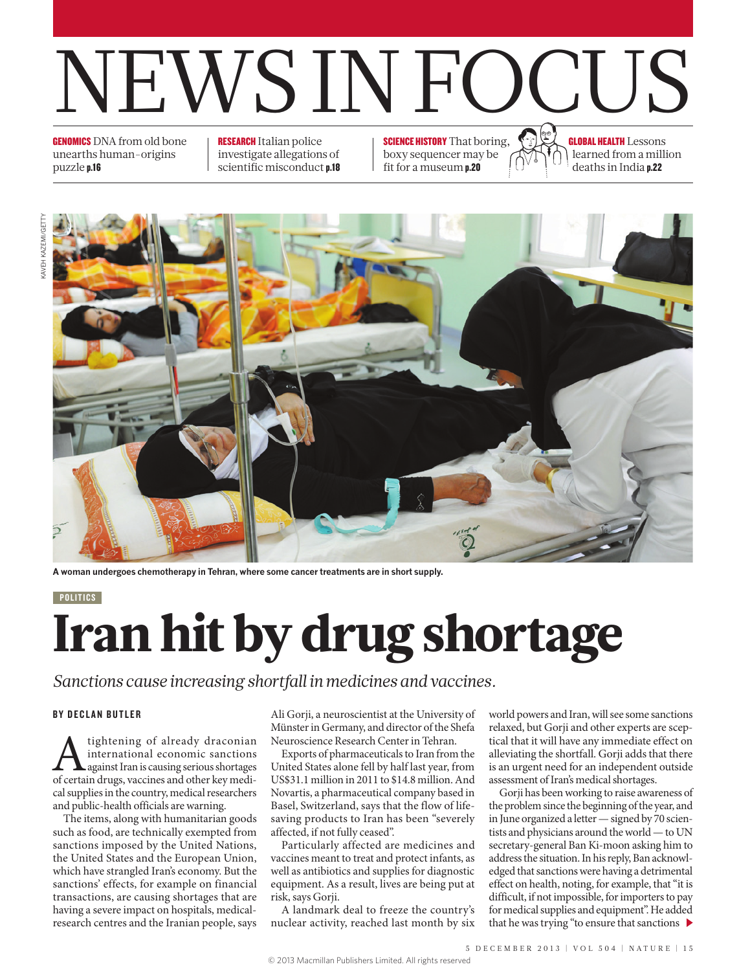

**GENOMICS** DNA from old bone unearths human-origins puzzle p.16

RESEARCH Italian police investigate allegations of scientific misconduct p.18 **SCIENCE HISTORY** That boring, boxy sequencer may be fit for a museum p.20

GLOBAL HEALTH Lessons learned from a million deaths in India p.22



**A woman undergoes chemotherapy in Tehran, where some cancer treatments are in short supply.**

#### **POLITICS**

# Iran hit by drug shortage

### *Sanctions cause increasing shortfall in medicines and vaccines.*

#### BY DECLAN BUTLER

A tightening of already draconian<br>international economic sanctions<br>of certain drugs, vaccines and other key mediinternational economic sanctions **L** against Iran is causing serious shortages cal supplies in the country, medical researchers and public-health officials are warning.

The items, along with humanitarian goods such as food, are technically exempted from sanctions imposed by the United Nations, the United States and the European Union, which have strangled Iran's economy. But the sanctions' effects, for example on financial transactions, are causing shortages that are having a severe impact on hospitals, medicalresearch centres and the Iranian people, says

Ali Gorji, a neuroscientist at the University of Münster in Germany, and director of the Shefa Neuroscience Research Center in Tehran.

Exports of pharmaceuticals to Iran from the United States alone fell by half last year, from US\$31.1 million in 2011 to \$14.8 million. And Novartis, a pharmaceutical company based in Basel, Switzerland, says that the flow of lifesaving products to Iran has been "severely affected, if not fully ceased".

Particularly affected are medicines and vaccines meant to treat and protect infants, as well as antibiotics and supplies for diagnostic equipment. As a result, lives are being put at risk, says Gorji.

A landmark deal to freeze the country's nuclear activity, reached last month by six world powers and Iran, will see some sanctions relaxed, but Gorji and other experts are sceptical that it will have any immediate effect on alleviating the shortfall. Gorji adds that there is an urgent need for an independent outside assessment of Iran's medical shortages.

Gorji has been working to raise awareness of the problem since the beginning of the year, and in June organized a letter — signed by 70 scientists and physicians around the world — to UN secretary-general Ban Ki-moon asking him to address the situation. In his reply, Ban acknowledged that sanctions were having a detrimental effect on health, noting, for example, that "it is difficult, if not impossible, for importers to pay for medical supplies and equipment". He added that he was trying "to ensure that sanctions